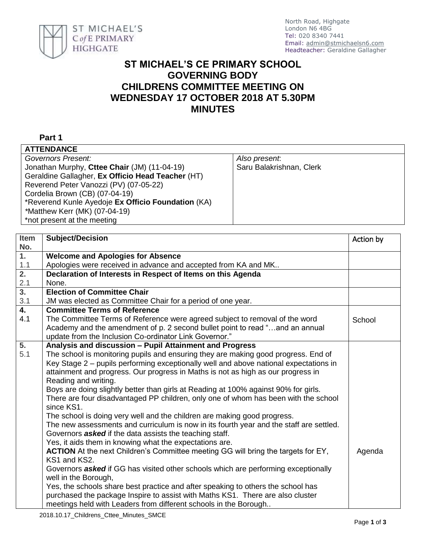

## **ST MICHAEL'S CE PRIMARY SCHOOL GOVERNING BODY CHILDRENS COMMITTEE MEETING ON WEDNESDAY 17 OCTOBER 2018 AT 5.30PM MINUTES**

## **Part 1**

| <b>ATTENDANCE</b>                                  |                          |
|----------------------------------------------------|--------------------------|
| Governors Present:                                 | Also present.            |
| Jonathan Murphy, Cttee Chair (JM) (11-04-19)       | Saru Balakrishnan, Clerk |
| Geraldine Gallagher, Ex Officio Head Teacher (HT)  |                          |
| Reverend Peter Vanozzi (PV) (07-05-22)             |                          |
| Cordelia Brown (CB) (07-04-19)                     |                          |
| *Reverend Kunle Ayedoje Ex Officio Foundation (KA) |                          |
| *Matthew Kerr (MK) (07-04-19)                      |                          |
| *not present at the meeting                        |                          |
|                                                    |                          |

| Item             | <b>Subject/Decision</b>                                                                                                                | Action by |
|------------------|----------------------------------------------------------------------------------------------------------------------------------------|-----------|
| No.              |                                                                                                                                        |           |
| $\overline{1}$ . | <b>Welcome and Apologies for Absence</b>                                                                                               |           |
| 1.1              | Apologies were received in advance and accepted from KA and MK                                                                         |           |
| $\overline{2}$ . | Declaration of Interests in Respect of Items on this Agenda                                                                            |           |
| 2.1              | None.                                                                                                                                  |           |
| $\overline{3}$ . | <b>Election of Committee Chair</b>                                                                                                     |           |
| 3.1              | JM was elected as Committee Chair for a period of one year.                                                                            |           |
| $\overline{4}$ . | <b>Committee Terms of Reference</b>                                                                                                    |           |
| 4.1              | The Committee Terms of Reference were agreed subject to removal of the word                                                            | School    |
|                  | Academy and the amendment of p. 2 second bullet point to read "and an annual<br>update from the Inclusion Co-ordinator Link Governor." |           |
| 5.               | Analysis and discussion - Pupil Attainment and Progress                                                                                |           |
| 5.1              | The school is monitoring pupils and ensuring they are making good progress. End of                                                     |           |
|                  | Key Stage 2 – pupils performing exceptionally well and above national expectations in                                                  |           |
|                  | attainment and progress. Our progress in Maths is not as high as our progress in                                                       |           |
|                  | Reading and writing.                                                                                                                   |           |
|                  | Boys are doing slightly better than girls at Reading at 100% against 90% for girls.                                                    |           |
|                  | There are four disadvantaged PP children, only one of whom has been with the school                                                    |           |
|                  | since KS1.                                                                                                                             |           |
|                  | The school is doing very well and the children are making good progress.                                                               |           |
|                  | The new assessments and curriculum is now in its fourth year and the staff are settled.                                                |           |
|                  | Governors <b>asked</b> if the data assists the teaching staff.                                                                         |           |
|                  | Yes, it aids them in knowing what the expectations are.                                                                                |           |
|                  | <b>ACTION</b> At the next Children's Committee meeting GG will bring the targets for EY,                                               | Agenda    |
|                  | KS1 and KS2.                                                                                                                           |           |
|                  | Governors <b>asked</b> if GG has visited other schools which are performing exceptionally                                              |           |
|                  | well in the Borough,                                                                                                                   |           |
|                  | Yes, the schools share best practice and after speaking to others the school has                                                       |           |
|                  | purchased the package Inspire to assist with Maths KS1. There are also cluster                                                         |           |
|                  | meetings held with Leaders from different schools in the Borough                                                                       |           |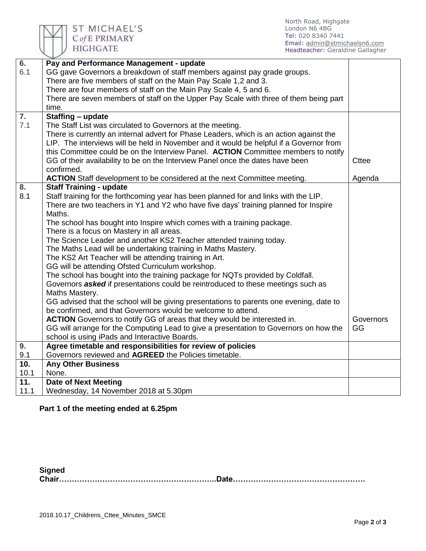

North Road, Highgate London N6 4BG Tel: 020 8340 7441 Email: [admin@stmichaelsn6.com](mailto:admin@stmichaelsn6.com) Headteacher: Geraldine Gallagher

| $\overline{6}$ .  | Pay and Performance Management - update                                                 |              |
|-------------------|-----------------------------------------------------------------------------------------|--------------|
| 6.1               | GG gave Governors a breakdown of staff members against pay grade groups.                |              |
|                   | There are five members of staff on the Main Pay Scale 1,2 and 3.                        |              |
|                   | There are four members of staff on the Main Pay Scale 4, 5 and 6.                       |              |
|                   | There are seven members of staff on the Upper Pay Scale with three of them being part   |              |
|                   | time.                                                                                   |              |
| 7.                | Staffing - update                                                                       |              |
| 7.1               | The Staff List was circulated to Governors at the meeting.                              |              |
|                   | There is currently an internal advert for Phase Leaders, which is an action against the |              |
|                   | LIP. The interviews will be held in November and it would be helpful if a Governor from |              |
|                   | this Committee could be on the Interview Panel. ACTION Committee members to notify      |              |
|                   | GG of their availability to be on the Interview Panel once the dates have been          | <b>Cttee</b> |
|                   | confirmed.                                                                              |              |
|                   | ACTION Staff development to be considered at the next Committee meeting.                | Agenda       |
| 8.                | <b>Staff Training - update</b>                                                          |              |
| 8.1               | Staff training for the forthcoming year has been planned for and links with the LIP.    |              |
|                   | There are two teachers in Y1 and Y2 who have five days' training planned for Inspire    |              |
|                   | Maths.                                                                                  |              |
|                   | The school has bought into Inspire which comes with a training package.                 |              |
|                   | There is a focus on Mastery in all areas.                                               |              |
|                   | The Science Leader and another KS2 Teacher attended training today.                     |              |
|                   | The Maths Lead will be undertaking training in Maths Mastery.                           |              |
|                   | The KS2 Art Teacher will be attending training in Art.                                  |              |
|                   | GG will be attending Ofsted Curriculum workshop.                                        |              |
|                   | The school has bought into the training package for NQTs provided by Coldfall.          |              |
|                   | Governors asked if presentations could be reintroduced to these meetings such as        |              |
|                   | Maths Mastery.                                                                          |              |
|                   | GG advised that the school will be giving presentations to parents one evening, date to |              |
|                   | be confirmed, and that Governors would be welcome to attend.                            |              |
|                   | ACTION Governors to notify GG of areas that they would be interested in.                | Governors    |
|                   | GG will arrange for the Computing Lead to give a presentation to Governors on how the   | GG           |
|                   | school is using iPads and Interactive Boards.                                           |              |
| 9.                | Agree timetable and responsibilities for review of policies                             |              |
| 9.1               | Governors reviewed and AGREED the Policies timetable.                                   |              |
| 10.               | <b>Any Other Business</b>                                                               |              |
| 10.1              | None.                                                                                   |              |
| $\overline{11}$ . | <b>Date of Next Meeting</b>                                                             |              |
| 11.1              | Wednesday, 14 November 2018 at 5.30pm                                                   |              |

## **Part 1 of the meeting ended at 6.25pm**

**Signed Chair……………………………………………………..Date…………………………………………….**